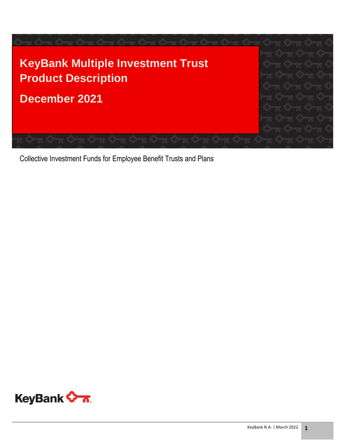

Collective Investment Funds for Employee Benefit Trusts and Plans

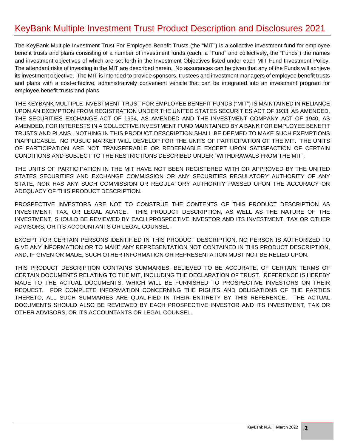### KeyBank Multiple Investment Trust Product Description and Disclosures 2021

The KeyBank Multiple Investment Trust For Employee Benefit Trusts (the "MIT") is a collective investment fund for employee benefit trusts and plans consisting of a number of investment funds (each, a "Fund" and collectively, the "Funds") the names and investment objectives of which are set forth in the Investment Objectives listed under each MIT Fund Investment Policy. The attendant risks of investing in the MIT are described herein. No assurances can be given that any of the Funds will achieve its investment objective. The MIT is intended to provide sponsors, trustees and investment managers of employee benefit trusts and plans with a cost-effective, administratively convenient vehicle that can be integrated into an investment program for employee benefit trusts and plans.

THE KEYBANK MULTIPLE INVESTMENT TRUST FOR EMPLOYEE BENEFIT FUNDS ("MIT") IS MAINTAINED IN RELIANCE UPON AN EXEMPTION FROM REGISTRATION UNDER THE UNITED STATES SECURITIES ACT OF 1933, AS AMENDED, THE SECURITIES EXCHANGE ACT OF 1934, AS AMENDED AND THE INVESTMENT COMPANY ACT OF 1940, AS AMENDED, FOR INTERESTS IN A COLLECTIVE INVESTMENT FUND MAINTAINED BY A BANK FOR EMPLOYEE BENEFIT TRUSTS AND PLANS. NOTHING IN THIS PRODUCT DESCRIPTION SHALL BE DEEMED TO MAKE SUCH EXEMPTIONS INAPPLICABLE. NO PUBLIC MARKET WILL DEVELOP FOR THE UNITS OF PARTICIPATION OF THE MIT. THE UNITS OF PARTICIPATION ARE NOT TRANSFERABLE OR REDEEMABLE EXCEPT UPON SATISFACTION OF CERTAIN CONDITIONS AND SUBJECT TO THE RESTRICTIONS DESCRIBED UNDER "WITHDRAWALS FROM THE MIT".

THE UNITS OF PARTICIPATION IN THE MIT HAVE NOT BEEN REGISTERED WITH OR APPROVED BY THE UNITED STATES SECURITIES AND EXCHANGE COMMISSION OR ANY SECURITIES REGULATORY AUTHORITY OF ANY STATE, NOR HAS ANY SUCH COMMISSION OR REGULATORY AUTHORITY PASSED UPON THE ACCURACY OR ADEQUACY OF THIS PRODUCT DESCRIPTION.

PROSPECTIVE INVESTORS ARE NOT TO CONSTRUE THE CONTENTS OF THIS PRODUCT DESCRIPTION AS INVESTMENT, TAX, OR LEGAL ADVICE. THIS PRODUCT DESCRIPTION, AS WELL AS THE NATURE OF THE INVESTMENT, SHOULD BE REVIEWED BY EACH PROSPECTIVE INVESTOR AND ITS INVESTMENT, TAX OR OTHER ADVISORS, OR ITS ACCOUNTANTS OR LEGAL COUNSEL.

EXCEPT FOR CERTAIN PERSONS IDENTIFIED IN THIS PRODUCT DESCRIPTION, NO PERSON IS AUTHORIZED TO GIVE ANY INFORMATION OR TO MAKE ANY REPRESENTATION NOT CONTAINED IN THIS PRODUCT DESCRIPTION, AND, IF GIVEN OR MADE, SUCH OTHER INFORMATION OR REPRESENTATION MUST NOT BE RELIED UPON.

THIS PRODUCT DESCRIPTION CONTAINS SUMMARIES, BELIEVED TO BE ACCURATE, OF CERTAIN TERMS OF CERTAIN DOCUMENTS RELATING TO THE MIT, INCLUDING THE DECLARATION OF TRUST. REFERENCE IS HEREBY MADE TO THE ACTUAL DOCUMENTS, WHICH WILL BE FURNISHED TO PROSPECTIVE INVESTORS ON THEIR REQUEST. FOR COMPLETE INFORMATION CONCERNING THE RIGHTS AND OBLIGATIONS OF THE PARTIES THERETO, ALL SUCH SUMMARIES ARE QUALIFIED IN THEIR ENTIRETY BY THIS REFERENCE. THE ACTUAL DOCUMENTS SHOULD ALSO BE REVIEWED BY EACH PROSPECTIVE INVESTOR AND ITS INVESTMENT, TAX OR OTHER ADVISORS, OR ITS ACCOUNTANTS OR LEGAL COUNSEL.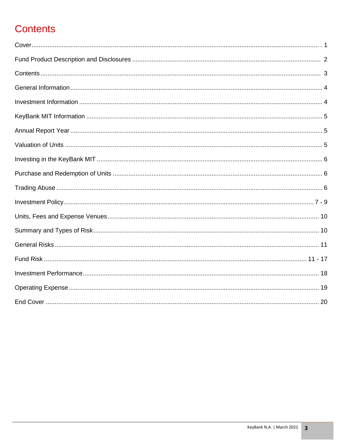# **Contents**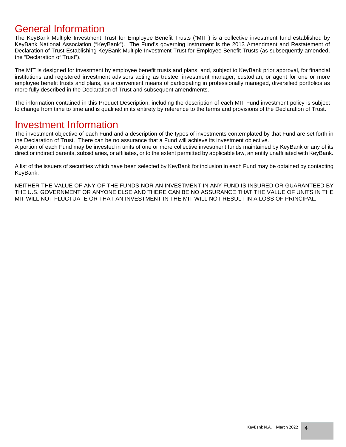### General Information

The KeyBank Multiple Investment Trust for Employee Benefit Trusts ("MIT") is a collective investment fund established by KeyBank National Association ("KeyBank"). The Fund's governing instrument is the 2013 Amendment and Restatement of Declaration of Trust Establishing KeyBank Multiple Investment Trust for Employee Benefit Trusts (as subsequently amended, the "Declaration of Trust").

The MIT is designed for investment by employee benefit trusts and plans, and, subject to KeyBank prior approval, for financial institutions and registered investment advisors acting as trustee, investment manager, custodian, or agent for one or more employee benefit trusts and plans, as a convenient means of participating in professionally managed, diversified portfolios as more fully described in the Declaration of Trust and subsequent amendments.

The information contained in this Product Description, including the description of each MIT Fund investment policy is subject to change from time to time and is qualified in its entirety by reference to the terms and provisions of the Declaration of Trust.

### Investment Information

The investment objective of each Fund and a description of the types of investments contemplated by that Fund are set forth in the Declaration of Trust. There can be no assurance that a Fund will achieve its investment objective. A portion of each Fund may be invested in units of one or more collective investment funds maintained by KeyBank or any of its direct or indirect parents, subsidiaries, or affiliates, or to the extent permitted by applicable law, an entity unaffiliated with KeyBank.

A list of the issuers of securities which have been selected by KeyBank for inclusion in each Fund may be obtained by contacting KeyBank.

NEITHER THE VALUE OF ANY OF THE FUNDS NOR AN INVESTMENT IN ANY FUND IS INSURED OR GUARANTEED BY THE U.S. GOVERNMENT OR ANYONE ELSE AND THERE CAN BE NO ASSURANCE THAT THE VALUE OF UNITS IN THE MIT WILL NOT FLUCTUATE OR THAT AN INVESTMENT IN THE MIT WILL NOT RESULT IN A LOSS OF PRINCIPAL.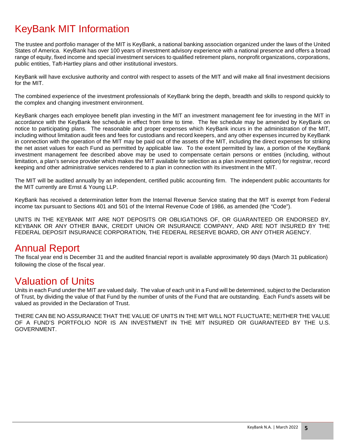## KeyBank MIT Information

The trustee and portfolio manager of the MIT is KeyBank, a national banking association organized under the laws of the United States of America. KeyBank has over 100 years of investment advisory experience with a national presence and offers a broad range of equity, fixed income and special investment services to qualified retirement plans, nonprofit organizations, corporations, public entities, Taft-Hartley plans and other institutional investors.

KeyBank will have exclusive authority and control with respect to assets of the MIT and will make all final investment decisions for the MIT.

The combined experience of the investment professionals of KeyBank bring the depth, breadth and skills to respond quickly to the complex and changing investment environment.

KeyBank charges each employee benefit plan investing in the MIT an investment management fee for investing in the MIT in accordance with the KeyBank fee schedule in effect from time to time. The fee schedule may be amended by KeyBank on notice to participating plans. The reasonable and proper expenses which KeyBank incurs in the administration of the MIT, including without limitation audit fees and fees for custodians and record keepers, and any other expenses incurred by KeyBank in connection with the operation of the MIT may be paid out of the assets of the MIT, including the direct expenses for striking the net asset values for each Fund as permitted by applicable law. To the extent permitted by law, a portion of the KeyBank investment management fee described above may be used to compensate certain persons or entities (including, without limitation, a plan's service provider which makes the MIT available for selection as a plan investment option) for registrar, record keeping and other administrative services rendered to a plan in connection with its investment in the MIT.

The MIT will be audited annually by an independent, certified public accounting firm. The independent public accountants for the MIT currently are Ernst & Young LLP.

KeyBank has received a determination letter from the Internal Revenue Service stating that the MIT is exempt from Federal income tax pursuant to Sections 401 and 501 of the Internal Revenue Code of 1986, as amended (the "Code").

UNITS IN THE KEYBANK MIT ARE NOT DEPOSITS OR OBLIGATIONS OF, OR GUARANTEED OR ENDORSED BY, KEYBANK OR ANY OTHER BANK, CREDIT UNION OR INSURANCE COMPANY, AND ARE NOT INSURED BY THE FEDERAL DEPOSIT INSURANCE CORPORATION, THE FEDERAL RESERVE BOARD, OR ANY OTHER AGENCY.

### Annual Report

The fiscal year end is December 31 and the audited financial report is available approximately 90 days (March 31 publication) following the close of the fiscal year.

### Valuation of Units

Units in each Fund under the MIT are valued daily. The value of each unit in a Fund will be determined, subject to the Declaration of Trust, by dividing the value of that Fund by the number of units of the Fund that are outstanding. Each Fund's assets will be valued as provided in the Declaration of Trust.

THERE CAN BE NO ASSURANCE THAT THE VALUE OF UNITS IN THE MIT WILL NOT FLUCTUATE; NEITHER THE VALUE OF A FUND'S PORTFOLIO NOR IS AN INVESTMENT IN THE MIT INSURED OR GUARANTEED BY THE U.S. GOVERNMENT.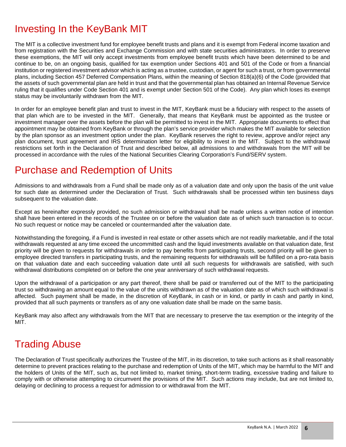### Investing In the KeyBank MIT

The MIT is a collective investment fund for employee benefit trusts and plans and it is exempt from Federal income taxation and from registration with the Securities and Exchange Commission and with state securities administrators. In order to preserve these exemptions, the MIT will only accept investments from employee benefit trusts which have been determined to be and continue to be, on an ongoing basis, qualified for tax exemption under Sections 401 and 501 of the Code or from a financial institution or registered investment advisor which is acting as a trustee, custodian, or agent for such a trust, or from governmental plans, including Section 457 Deferred Compensation Plans, within the meaning of Section 818(a)(6) of the Code (provided that the assets of such governmental plan are held in trust and that the governmental plan has obtained an Internal Revenue Service ruling that it qualifies under Code Section 401 and is exempt under Section 501 of the Code). Any plan which loses its exempt status may be involuntarily withdrawn from the MIT.

In order for an employee benefit plan and trust to invest in the MIT, KeyBank must be a fiduciary with respect to the assets of that plan which are to be invested in the MIT. Generally, that means that KeyBank must be appointed as the trustee or investment manager over the assets before the plan will be permitted to invest in the MIT. Appropriate documents to effect that appointment may be obtained from KeyBank or through the plan's service provider which makes the MIT available for selection by the plan sponsor as an investment option under the plan. KeyBank reserves the right to review, approve and/or reject any plan document, trust agreement and IRS determination letter for eligibility to invest in the MIT. Subject to the withdrawal restrictions set forth in the Declaration of Trust and described below, all admissions to and withdrawals from the MIT will be processed in accordance with the rules of the National Securities Clearing Corporation's Fund/SERV system.

### Purchase and Redemption of Units

Admissions to and withdrawals from a Fund shall be made only as of a valuation date and only upon the basis of the unit value for such date as determined under the Declaration of Trust. Such withdrawals shall be processed within ten business days subsequent to the valuation date.

Except as hereinafter expressly provided, no such admission or withdrawal shall be made unless a written notice of intention shall have been entered in the records of the Trustee on or before the valuation date as of which such transaction is to occur. No such request or notice may be canceled or countermanded after the valuation date.

Notwithstanding the foregoing, if a Fund is invested in real estate or other assets which are not readily marketable, and if the total withdrawals requested at any time exceed the uncommitted cash and the liquid investments available on that valuation date, first priority will be given to requests for withdrawals in order to pay benefits from participating trusts, second priority will be given to employee directed transfers in participating trusts, and the remaining requests for withdrawals will be fulfilled on a pro-rata basis on that valuation date and each succeeding valuation date until all such requests for withdrawals are satisfied, with such withdrawal distributions completed on or before the one year anniversary of such withdrawal requests.

Upon the withdrawal of a participation or any part thereof, there shall be paid or transferred out of the MIT to the participating trust so withdrawing an amount equal to the value of the units withdrawn as of the valuation date as of which such withdrawal is affected. Such payment shall be made, in the discretion of KeyBank, in cash or in kind, or partly in cash and partly in kind, provided that all such payments or transfers as of any one valuation date shall be made on the same basis.

KeyBank may also affect any withdrawals from the MIT that are necessary to preserve the tax exemption or the integrity of the MIT.

## Trading Abuse

The Declaration of Trust specifically authorizes the Trustee of the MIT, in its discretion, to take such actions as it shall reasonably determine to prevent practices relating to the purchase and redemption of Units of the MIT, which may be harmful to the MIT and the holders of Units of the MIT, such as, but not limited to, market timing, short-term trading, excessive trading and failure to comply with or otherwise attempting to circumvent the provisions of the MIT. Such actions may include, but are not limited to, delaying or declining to process a request for admission to or withdrawal from the MIT.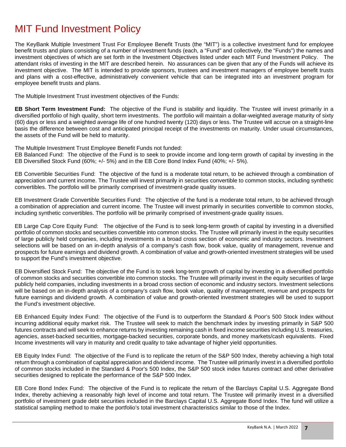### MIT Fund Investment Policy

The KeyBank Multiple Investment Trust For Employee Benefit Trusts (the "MIT") is a collective investment fund for employee benefit trusts and plans consisting of a number of investment funds (each, a "Fund" and collectively, the "Funds") the names and investment objectives of which are set forth in the Investment Objectives listed under each MIT Fund Investment Policy. The attendant risks of investing in the MIT are described herein. No assurances can be given that any of the Funds will achieve its investment objective. The MIT is intended to provide sponsors, trustees and investment managers of employee benefit trusts and plans with a cost-effective, administratively convenient vehicle that can be integrated into an investment program for employee benefit trusts and plans.

The Multiple Investment Trust investment objectives of the Funds:

**EB Short Term Investment Fund:** The objective of the Fund is stability and liquidity. The Trustee will invest primarily in a diversified portfolio of high quality, short term investments. The portfolio will maintain a dollar-weighted average maturity of sixty (60) days or less and a weighted average life of one hundred twenty (120) days or less. The Trustee will accrue on a straight-line basis the difference between cost and anticipated principal receipt of the investments on maturity. Under usual circumstances, the assets of the Fund will be held to maturity.

The Multiple Investment Trust Employee Benefit Funds not funded:

EB Balanced Fund: The objective of the Fund is to seek to provide income and long-term growth of capital by investing in the EB Diversified Stock Fund (60%; +/- 5%) and in the EB Core Bond Index Fund (40%; +/- 5%).

EB Convertible Securities Fund: The objective of the fund is a moderate total return, to be achieved through a combination of appreciation and current income. The Trustee will invest primarily in securities convertible to common stocks, including synthetic convertibles. The portfolio will be primarily comprised of investment-grade quality issues.

EB Investment Grade Convertible Securities Fund: The objective of the fund is a moderate total return, to be achieved through a combination of appreciation and current income. The Trustee will invest primarily in securities convertible to common stocks, including synthetic convertibles. The portfolio will be primarily comprised of investment-grade quality issues.

EB Large Cap Core Equity Fund: The objective of the Fund is to seek long-term growth of capital by investing in a diversified portfolio of common stocks and securities convertible into common stocks. The Trustee will primarily invest in the equity securities of large publicly held companies, including investments in a broad cross section of economic and industry sectors. Investment selections will be based on an in-depth analysis of a company's cash flow, book value, quality of management, revenue and prospects for future earnings and dividend growth. A combination of value and growth-oriented investment strategies will be used to support the Fund's investment objective.

EB Diversified Stock Fund: The objective of the Fund is to seek long-term growth of capital by investing in a diversified portfolio of common stocks and securities convertible into common stocks. The Trustee will primarily invest in the equity securities of large publicly held companies, including investments in a broad cross section of economic and industry sectors. Investment selections will be based on an in-depth analysis of a company's cash flow, book value, quality of management, revenue and prospects for future earnings and dividend growth. A combination of value and growth-oriented investment strategies will be used to support the Fund's investment objective.

EB Enhanced Equity Index Fund: The objective of the Fund is to outperform the Standard & Poor's 500 Stock Index without incurring additional equity market risk. The Trustee will seek to match the benchmark index by investing primarily in S&P 500 futures contracts and will seek to enhance returns by investing remaining cash in fixed income securities including U.S. treasuries, agencies, asset-backed securities, mortgage-backed securities, corporate bonds, and money markets/cash equivalents. Fixed Income investments will vary in maturity and credit quality to take advantage of higher yield opportunities.

EB Equity Index Fund: The objective of the Fund is to replicate the return of the S&P 500 Index, thereby achieving a high total return through a combination of capital appreciation and dividend income. The Trustee will primarily invest in a diversified portfolio of common stocks included in the Standard & Poor's 500 Index, the S&P 500 stock index futures contract and other derivative securities designed to replicate the performance of the S&P 500 Index.

EB Core Bond Index Fund: The objective of the Fund is to replicate the return of the Barclays Capital U.S. Aggregate Bond Index, thereby achieving a reasonably high level of income and total return. The Trustee will primarily invest in a diversified portfolio of investment grade debt securities included in the Barclays Capital U.S. Aggregate Bond Index. The fund will utilize a statistical sampling method to make the portfolio's total investment characteristics similar to those of the Index.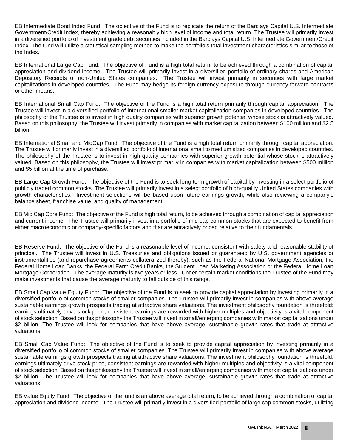EB Intermediate Bond Index Fund: The objective of the Fund is to replicate the return of the Barclays Capital U.S. Intermediate Government/Credit Index, thereby achieving a reasonably high level of income and total return. The Trustee will primarily invest in a diversified portfolio of investment grade debt securities included in the Barclays Capital U.S. Intermediate Government/Credit Index. The fund will utilize a statistical sampling method to make the portfolio's total investment characteristics similar to those of the Index.

EB International Large Cap Fund: The objective of Fund is a high total return, to be achieved through a combination of capital appreciation and dividend income. The Trustee will primarily invest in a diversified portfolio of ordinary shares and American Depository Receipts of non-United States companies. The Trustee will invest primarily in securities with large market capitalizations in developed countries. The Fund may hedge its foreign currency exposure through currency forward contracts or other means.

EB International Small Cap Fund: The objective of the Fund is a high total return primarily through capital appreciation. The Trustee will invest in a diversified portfolio of international smaller market capitalization companies in developed countries. The philosophy of the Trustee is to invest in high quality companies with superior growth potential whose stock is attractively valued. Based on this philosophy, the Trustee will invest primarily in companies with market capitalization between \$100 million and \$2.5 billion.

EB International Small and MidCap Fund: The objective of the Fund is a high total return primarily through capital appreciation. The Trustee will primarily invest in a diversified portfolio of international small to medium sized companies in developed countries. The philosophy of the Trustee is to invest in high quality companies with superior growth potential whose stock is attractively valued. Based on this philosophy, the Trustee will invest primarily in companies with market capitalization between \$500 million and \$5 billion at the time of purchase.

EB Large Cap Growth Fund: The objective of the Fund is to seek long-term growth of capital by investing in a select portfolio of publicly traded common stocks. The Trustee will primarily invest in a select portfolio of high-quality United States companies with growth characteristics. Investment selections will be based upon future earnings growth, while also reviewing a company's balance sheet, franchise value, and quality of management.

EB Mid Cap Core Fund: The objective of the Fund is high total return, to be achieved through a combination of capital appreciation and current income. The Trustee will primarily invest in a portfolio of mid cap common stocks that are expected to benefit from either macroeconomic or company-specific factors and that are attractively priced relative to their fundamentals.

EB Reserve Fund: The objective of the Fund is a reasonable level of income, consistent with safety and reasonable stability of principal. The Trustee will invest in U.S. Treasuries and obligations issued or guaranteed by U.S. government agencies or instrumentalities (and repurchase agreements collateralized thereby), such as the Federal National Mortgage Association, the Federal Home Loan Banks, the Federal Farm Credit Banks, the Student Loan Marketing Association or the Federal Home Loan Mortgage Corporation. The average maturity is two years or less. Under certain market conditions the Trustee of the Fund may make investments that cause the average maturity to fall outside of this range.

EB Small Cap Value Equity Fund: The objective of the Fund is to seek to provide capital appreciation by investing primarily in a diversified portfolio of common stocks of smaller companies. The Trustee will primarily invest in companies with above average sustainable earnings growth prospects trading at attractive share valuations. The investment philosophy foundation is threefold: earnings ultimately drive stock price, consistent earnings are rewarded with higher multiples and objectivity is a vital component of stock selection. Based on this philosophy the Trustee will invest in small/emerging companies with market capitalizations under \$2 billion. The Trustee will look for companies that have above average, sustainable growth rates that trade at attractive valuations.

EB Small Cap Value Fund: The objective of the Fund is to seek to provide capital appreciation by investing primarily in a diversified portfolio of common stocks of smaller companies. The Trustee will primarily invest in companies with above average sustainable earnings growth prospects trading at attractive share valuations. The investment philosophy foundation is threefold: earnings ultimately drive stock price, consistent earnings are rewarded with higher multiples and objectivity is a vital component of stock selection. Based on this philosophy the Trustee will invest in small/emerging companies with market capitalizations under \$2 billion. The Trustee will look for companies that have above average, sustainable growth rates that trade at attractive valuations.

EB Value Equity Fund: The objective of the fund is an above average total return, to be achieved through a combination of capital appreciation and dividend income. The Trustee will primarily invest in a diversified portfolio of large cap common stocks, utilizing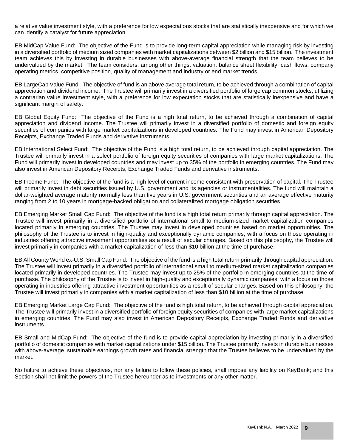a relative value investment style, with a preference for low expectations stocks that are statistically inexpensive and for which we can identify a catalyst for future appreciation.

EB MidCap Value Fund: The objective of the Fund is to provide long-term capital appreciation while managing risk by investing in a diversified portfolio of medium sized companies with market capitalizations between \$2 billion and \$15 billion. The investment team achieves this by investing in durable businesses with above-average financial strength that the team believes to be undervalued by the market. The team considers, among other things, valuation, balance sheet flexibility, cash flows, company operating metrics, competitive position, quality of management and industry or end market trends.

EB LargeCap Value Fund: The objective of fund is an above average total return, to be achieved through a combination of capital appreciation and dividend income. The Trustee will primarily invest in a diversified portfolio of large cap common stocks, utilizing a contrarian value investment style, with a preference for low expectation stocks that are statistically inexpensive and have a significant margin of safety.

EB Global Equity Fund: The objective of the Fund is a high total return, to be achieved through a combination of capital appreciation and dividend income. The Trustee will primarily invest in a diversified portfolio of domestic and foreign equity securities of companies with large market capitalizations in developed countries. The Fund may invest in American Depository Receipts, Exchange Traded Funds and derivative instruments.

EB International Select Fund: The objective of the Fund is a high total return, to be achieved through capital appreciation. The Trustee will primarily invest in a select portfolio of foreign equity securities of companies with large market capitalizations. The Fund will primarily invest in developed countries and may invest up to 35% of the portfolio in emerging countries. The Fund may also invest in American Depository Receipts, Exchange Traded Funds and derivative instruments.

EB Income Fund: The objective of the fund is a high level of current income consistent with preservation of capital. The Trustee will primarily invest in debt securities issued by U.S. government and its agencies or instrumentalities. The fund will maintain a dollar-weighted average maturity normally less than five years in U.S. government securities and an average effective maturity ranging from 2 to 10 years in mortgage-backed obligation and collateralized mortgage obligation securities.

EB Emerging Market Small Cap Fund: The objective of the fund is a high total return primarily through capital appreciation. The Trustee will invest primarily in a diversified portfolio of international small to medium-sized market capitalization companies located primarily in emerging countries. The Trustee may invest in developed countries based on market opportunities. The philosophy of the Trustee is to invest in high-quality and exceptionally dynamic companies, with a focus on those operating in industries offering attractive investment opportunities as a result of secular changes. Based on this philosophy, the Trustee will invest primarily in companies with a market capitalization of less than \$10 billion at the time of purchase.

EB All County World ex-U.S. Small Cap Fund: The objective of the fund is a high total return primarily through capital appreciation. The Trustee will invest primarily in a diversified portfolio of international small to medium-sized market capitalization companies located primarily in developed countries. The Trustee may invest up to 25% of the portfolio in emerging countries at the time of purchase. The philosophy of the Trustee is to invest in high-quality and exceptionally dynamic companies, with a focus on those operating in industries offering attractive investment opportunities as a result of secular changes. Based on this philosophy, the Trustee will invest primarily in companies with a market capitalization of less than \$10 billion at the time of purchase.

EB Emerging Market Large Cap Fund: The objective of the fund is high total return, to be achieved through capital appreciation. The Trustee will primarily invest in a diversified portfolio of foreign equity securities of companies with large market capitalizations in emerging countries. The Fund may also invest in American Depository Receipts, Exchange Traded Funds and derivative instruments.

EB Small and MidCap Fund: The objective of the fund is to provide capital appreciation by investing primarily in a diversified portfolio of domestic companies with market capitalizations under \$15 billion. The Trustee primarily invests in durable businesses with above-average, sustainable earnings growth rates and financial strength that the Trustee believes to be undervalued by the market.

No failure to achieve these objectives, nor any failure to follow these policies, shall impose any liability on KeyBank; and this Section shall not limit the powers of the Trustee hereunder as to investments or any other matter.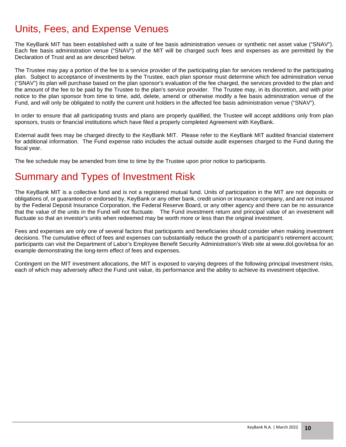## Units, Fees, and Expense Venues

The KeyBank MIT has been established with a suite of fee basis administration venues or synthetic net asset value ("SNAV"). Each fee basis administration venue ("SNAV") of the MIT will be charged such fees and expenses as are permitted by the Declaration of Trust and as are described below.

The Trustee may pay a portion of the fee to a service provider of the participating plan for services rendered to the participating plan. Subject to acceptance of investments by the Trustee, each plan sponsor must determine which fee administration venue ("SNAV") its plan will purchase based on the plan sponsor's evaluation of the fee charged, the services provided to the plan and the amount of the fee to be paid by the Trustee to the plan's service provider. The Trustee may, in its discretion, and with prior notice to the plan sponsor from time to time, add, delete, amend or otherwise modify a fee basis administration venue of the Fund, and will only be obligated to notify the current unit holders in the affected fee basis administration venue ("SNAV").

In order to ensure that all participating trusts and plans are properly qualified, the Trustee will accept additions only from plan sponsors, trusts or financial institutions which have filed a properly completed Agreement with KeyBank.

External audit fees may be charged directly to the KeyBank MIT. Please refer to the KeyBank MIT audited financial statement for additional information. The Fund expense ratio includes the actual outside audit expenses charged to the Fund during the fiscal year.

The fee schedule may be amended from time to time by the Trustee upon prior notice to participants.

## Summary and Types of Investment Risk

The KeyBank MIT is a collective fund and is not a registered mutual fund. Units of participation in the MIT are not deposits or obligations of, or guaranteed or endorsed by, KeyBank or any other bank, credit union or insurance company, and are not insured by the Federal Deposit Insurance Corporation, the Federal Reserve Board, or any other agency and there can be no assurance that the value of the units in the Fund will not fluctuate. The Fund investment return and principal value of an investment will fluctuate so that an investor's units when redeemed may be worth more or less than the original investment.

Fees and expenses are only one of several factors that participants and beneficiaries should consider when making investment decisions. The cumulative effect of fees and expenses can substantially reduce the growth of a participant's retirement account; participants can visit the Department of Labor's Employee Benefit Security Administration's Web site at www.dol.gov/ebsa for an example demonstrating the long-term effect of fees and expenses.

Contingent on the MIT investment allocations, the MIT is exposed to varying degrees of the following principal investment risks, each of which may adversely affect the Fund unit value, its performance and the ability to achieve its investment objective.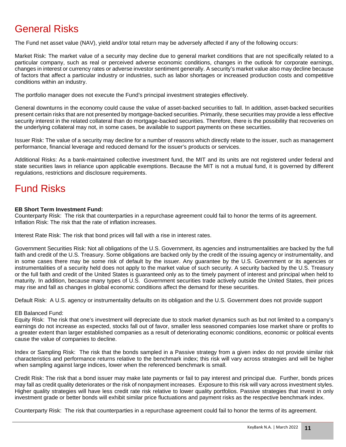## General Risks

The Fund net asset value (NAV), yield and/or total return may be adversely affected if any of the following occurs:

Market Risk: The market value of a security may decline due to general market conditions that are not specifically related to a particular company, such as real or perceived adverse economic conditions, changes in the outlook for corporate earnings, changes in interest or currency rates or adverse investor sentiment generally. A security's market value also may decline because of factors that affect a particular industry or industries, such as labor shortages or increased production costs and competitive conditions within an industry.

The portfolio manager does not execute the Fund's principal investment strategies effectively.

General downturns in the economy could cause the value of asset-backed securities to fall. In addition, asset-backed securities present certain risks that are not presented by mortgage-backed securities. Primarily, these securities may provide a less effective security interest in the related collateral than do mortgage-backed securities. Therefore, there is the possibility that recoveries on the underlying collateral may not, in some cases, be available to support payments on these securities.

Issuer Risk: The value of a security may decline for a number of reasons which directly relate to the issuer, such as management performance, financial leverage and reduced demand for the issuer's products or services.

Additional Risks: As a bank-maintained collective investment fund, the MIT and its units are not registered under federal and state securities laws in reliance upon applicable exemptions. Because the MIT is not a mutual fund, it is governed by different regulations, restrictions and disclosure requirements.

## Fund Risks

#### **EB Short Term Investment Fund:**

Counterparty Risk: The risk that counterparties in a repurchase agreement could fail to honor the terms of its agreement. Inflation Risk: The risk that the rate of inflation increases.

Interest Rate Risk: The risk that bond prices will fall with a rise in interest rates.

Government Securities Risk: Not all obligations of the U.S. Government, its agencies and instrumentalities are backed by the full faith and credit of the U.S. Treasury. Some obligations are backed only by the credit of the issuing agency or instrumentality, and in some cases there may be some risk of default by the issuer. Any guarantee by the U.S. Government or its agencies or instrumentalities of a security held does not apply to the market value of such security. A security backed by the U.S. Treasury or the full faith and credit of the United States is guaranteed only as to the timely payment of interest and principal when held to maturity. In addition, because many types of U.S. Government securities trade actively outside the United States, their prices may rise and fall as changes in global economic conditions affect the demand for these securities.

Default Risk: A U.S. agency or instrumentality defaults on its obligation and the U.S. Government does not provide support

#### EB Balanced Fund:

Equity Risk: The risk that one's investment will depreciate due to stock market dynamics such as but not limited to a company's earnings do not increase as expected, stocks fall out of favor, smaller less seasoned companies lose market share or profits to a greater extent than larger established companies as a result of deteriorating economic conditions, economic or political events cause the value of companies to decline.

Index or Sampling Risk: The risk that the bonds sampled in a Passive strategy from a given index do not provide similar risk characteristics and performance returns relative to the benchmark index; this risk will vary across strategies and will be higher when sampling against large indices, lower when the referenced benchmark is small.

Credit Risk: The risk that a bond issuer may make late payments or fail to pay interest and principal due. Further, bonds prices may fall as credit quality deteriorates or the risk of nonpayment increases. Exposure to this risk will vary across investment styles. Higher quality strategies will have less credit rate risk relative to lower quality portfolios. Passive strategies that invest in only investment grade or better bonds will exhibit similar price fluctuations and payment risks as the respective benchmark index.

Counterparty Risk: The risk that counterparties in a repurchase agreement could fail to honor the terms of its agreement.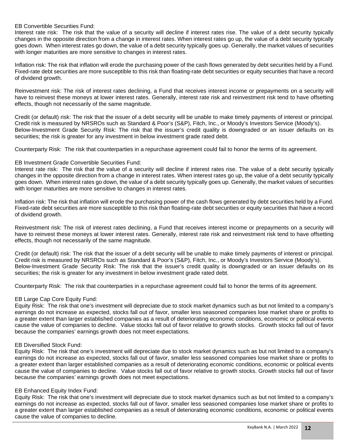#### EB Convertible Securities Fund:

Interest rate risk: The risk that the value of a security will decline if interest rates rise. The value of a debt security typically changes in the opposite direction from a change in interest rates. When interest rates go up, the value of a debt security typically goes down. When interest rates go down, the value of a debt security typically goes up. Generally, the market values of securities with longer maturities are more sensitive to changes in interest rates.

Inflation risk: The risk that inflation will erode the purchasing power of the cash flows generated by debt securities held by a Fund. Fixed-rate debt securities are more susceptible to this risk than floating-rate debt securities or equity securities that have a record of dividend growth.

Reinvestment risk: The risk of interest rates declining, a Fund that receives interest income or prepayments on a security will have to reinvest these moneys at lower interest rates. Generally, interest rate risk and reinvestment risk tend to have offsetting effects, though not necessarily of the same magnitude.

Credit (or default) risk: The risk that the issuer of a debt security will be unable to make timely payments of interest or principal. Credit risk is measured by NRSROs such as Standard & Poor's (S&P), Fitch, Inc., or Moody's Investors Service (Moody's). Below-Investment Grade Security Risk: The risk that the issuer's credit quality is downgraded or an issuer defaults on its securities; the risk is greater for any investment in below investment grade rated debt.

Counterparty Risk: The risk that counterparties in a repurchase agreement could fail to honor the terms of its agreement.

#### EB Investment Grade Convertible Securities Fund:

Interest rate risk: The risk that the value of a security will decline if interest rates rise. The value of a debt security typically changes in the opposite direction from a change in interest rates. When interest rates go up, the value of a debt security typically goes down. When interest rates go down, the value of a debt security typically goes up. Generally, the market values of securities with longer maturities are more sensitive to changes in interest rates.

Inflation risk: The risk that inflation will erode the purchasing power of the cash flows generated by debt securities held by a Fund. Fixed-rate debt securities are more susceptible to this risk than floating-rate debt securities or equity securities that have a record of dividend growth.

Reinvestment risk: The risk of interest rates declining, a Fund that receives interest income or prepayments on a security will have to reinvest these moneys at lower interest rates. Generally, interest rate risk and reinvestment risk tend to have offsetting effects, though not necessarily of the same magnitude.

Credit (or default) risk: The risk that the issuer of a debt security will be unable to make timely payments of interest or principal. Credit risk is measured by NRSROs such as Standard & Poor's (S&P), Fitch, Inc., or Moody's Investors Service (Moody's). Below-Investment Grade Security Risk: The risk that the issuer's credit quality is downgraded or an issuer defaults on its securities; the risk is greater for any investment in below investment grade rated debt.

Counterparty Risk: The risk that counterparties in a repurchase agreement could fail to honor the terms of its agreement.

#### EB Large Cap Core Equity Fund:

Equity Risk: The risk that one's investment will depreciate due to stock market dynamics such as but not limited to a company's earnings do not increase as expected, stocks fall out of favor, smaller less seasoned companies lose market share or profits to a greater extent than larger established companies as a result of deteriorating economic conditions, economic or political events cause the value of companies to decline. Value stocks fall out of favor relative to growth stocks. Growth stocks fall out of favor because the companies' earnings growth does not meet expectations.

#### EB Diversified Stock Fund:

Equity Risk: The risk that one's investment will depreciate due to stock market dynamics such as but not limited to a company's earnings do not increase as expected, stocks fall out of favor, smaller less seasoned companies lose market share or profits to a greater extent than larger established companies as a result of deteriorating economic conditions, economic or political events cause the value of companies to decline. Value stocks fall out of favor relative to growth stocks. Growth stocks fall out of favor because the companies' earnings growth does not meet expectations.

#### EB Enhanced Equity Index Fund:

Equity Risk: The risk that one's investment will depreciate due to stock market dynamics such as but not limited to a company's earnings do not increase as expected, stocks fall out of favor, smaller less seasoned companies lose market share or profits to a greater extent than larger established companies as a result of deteriorating economic conditions, economic or political events cause the value of companies to decline.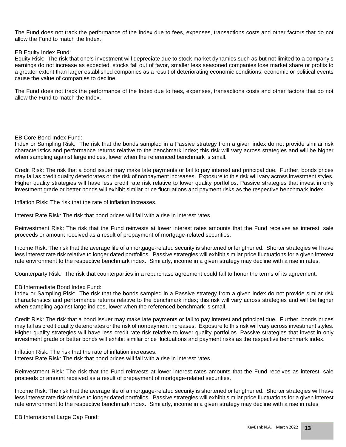The Fund does not track the performance of the Index due to fees, expenses, transactions costs and other factors that do not allow the Fund to match the Index.

#### EB Equity Index Fund:

Equity Risk: The risk that one's investment will depreciate due to stock market dynamics such as but not limited to a company's earnings do not increase as expected, stocks fall out of favor, smaller less seasoned companies lose market share or profits to a greater extent than larger established companies as a result of deteriorating economic conditions, economic or political events cause the value of companies to decline.

The Fund does not track the performance of the Index due to fees, expenses, transactions costs and other factors that do not allow the Fund to match the Index.

#### EB Core Bond Index Fund:

Index or Sampling Risk: The risk that the bonds sampled in a Passive strategy from a given index do not provide similar risk characteristics and performance returns relative to the benchmark index; this risk will vary across strategies and will be higher when sampling against large indices, lower when the referenced benchmark is small.

Credit Risk: The risk that a bond issuer may make late payments or fail to pay interest and principal due. Further, bonds prices may fall as credit quality deteriorates or the risk of nonpayment increases. Exposure to this risk will vary across investment styles. Higher quality strategies will have less credit rate risk relative to lower quality portfolios. Passive strategies that invest in only investment grade or better bonds will exhibit similar price fluctuations and payment risks as the respective benchmark index.

Inflation Risk: The risk that the rate of inflation increases.

Interest Rate Risk: The risk that bond prices will fall with a rise in interest rates.

Reinvestment Risk: The risk that the Fund reinvests at lower interest rates amounts that the Fund receives as interest, sale proceeds or amount received as a result of prepayment of mortgage-related securities.

Income Risk: The risk that the average life of a mortgage-related security is shortened or lengthened. Shorter strategies will have less interest rate risk relative to longer dated portfolios. Passive strategies will exhibit similar price fluctuations for a given interest rate environment to the respective benchmark index. Similarly, income in a given strategy may decline with a rise in rates.

Counterparty Risk: The risk that counterparties in a repurchase agreement could fail to honor the terms of its agreement.

#### EB Intermediate Bond Index Fund:

Index or Sampling Risk: The risk that the bonds sampled in a Passive strategy from a given index do not provide similar risk characteristics and performance returns relative to the benchmark index; this risk will vary across strategies and will be higher when sampling against large indices, lower when the referenced benchmark is small.

Credit Risk: The risk that a bond issuer may make late payments or fail to pay interest and principal due. Further, bonds prices may fall as credit quality deteriorates or the risk of nonpayment increases. Exposure to this risk will vary across investment styles. Higher quality strategies will have less credit rate risk relative to lower quality portfolios. Passive strategies that invest in only investment grade or better bonds will exhibit similar price fluctuations and payment risks as the respective benchmark index.

Inflation Risk: The risk that the rate of inflation increases. Interest Rate Risk: The risk that bond prices will fall with a rise in interest rates.

Reinvestment Risk: The risk that the Fund reinvests at lower interest rates amounts that the Fund receives as interest, sale proceeds or amount received as a result of prepayment of mortgage-related securities.

Income Risk: The risk that the average life of a mortgage-related security is shortened or lengthened. Shorter strategies will have less interest rate risk relative to longer dated portfolios. Passive strategies will exhibit similar price fluctuations for a given interest rate environment to the respective benchmark index. Similarly, income in a given strategy may decline with a rise in rates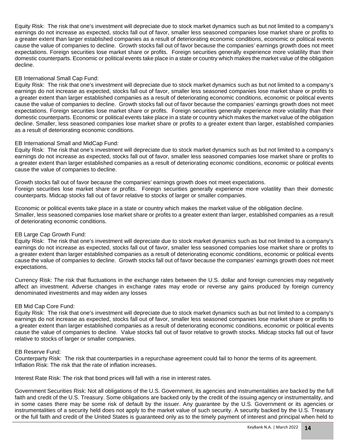Equity Risk: The risk that one's investment will depreciate due to stock market dynamics such as but not limited to a company's earnings do not increase as expected, stocks fall out of favor, smaller less seasoned companies lose market share or profits to a greater extent than larger established companies as a result of deteriorating economic conditions, economic or political events cause the value of companies to decline. Growth stocks fall out of favor because the companies' earnings growth does not meet expectations. Foreign securities lose market share or profits. Foreign securities generally experience more volatility than their domestic counterparts. Economic or political events take place in a state or country which makes the market value of the obligation decline.

#### EB International Small Cap Fund:

Equity Risk: The risk that one's investment will depreciate due to stock market dynamics such as but not limited to a company's earnings do not increase as expected, stocks fall out of favor, smaller less seasoned companies lose market share or profits to a greater extent than larger established companies as a result of deteriorating economic conditions, economic or political events cause the value of companies to decline. Growth stocks fall out of favor because the companies' earnings growth does not meet expectations. Foreign securities lose market share or profits. Foreign securities generally experience more volatility than their domestic counterparts. Economic or political events take place in a state or country which makes the market value of the obligation decline. Smaller, less seasoned companies lose market share or profits to a greater extent than larger, established companies as a result of deteriorating economic conditions.

#### EB International Small and MidCap Fund:

Equity Risk: The risk that one's investment will depreciate due to stock market dynamics such as but not limited to a company's earnings do not increase as expected, stocks fall out of favor, smaller less seasoned companies lose market share or profits to a greater extent than larger established companies as a result of deteriorating economic conditions, economic or political events cause the value of companies to decline.

Growth stocks fall out of favor because the companies' earnings growth does not meet expectations. Foreign securities lose market share or profits. Foreign securities generally experience more volatility than their domestic counterparts. Midcap stocks fall out of favor relative to stocks of larger or smaller companies.

Economic or political events take place in a state or country which makes the market value of the obligation decline. Smaller, less seasoned companies lose market share or profits to a greater extent than larger, established companies as a result of deteriorating economic conditions.

#### EB Large Cap Growth Fund:

Equity Risk: The risk that one's investment will depreciate due to stock market dynamics such as but not limited to a company's earnings do not increase as expected, stocks fall out of favor, smaller less seasoned companies lose market share or profits to a greater extent than larger established companies as a result of deteriorating economic conditions, economic or political events cause the value of companies to decline. Growth stocks fall out of favor because the companies' earnings growth does not meet expectations.

Currency Risk: The risk that fluctuations in the exchange rates between the U.S. dollar and foreign currencies may negatively affect an investment. Adverse changes in exchange rates may erode or reverse any gains produced by foreign currency denominated investments and may widen any losses

#### EB Mid Cap Core Fund:

Equity Risk: The risk that one's investment will depreciate due to stock market dynamics such as but not limited to a company's earnings do not increase as expected, stocks fall out of favor, smaller less seasoned companies lose market share or profits to a greater extent than larger established companies as a result of deteriorating economic conditions, economic or political events cause the value of companies to decline. Value stocks fall out of favor relative to growth stocks. Midcap stocks fall out of favor relative to stocks of larger or smaller companies.

#### EB Reserve Fund:

Counterparty Risk: The risk that counterparties in a repurchase agreement could fail to honor the terms of its agreement. Inflation Risk: The risk that the rate of inflation increases.

Interest Rate Risk: The risk that bond prices will fall with a rise in interest rates.

Government Securities Risk: Not all obligations of the U.S. Government, its agencies and instrumentalities are backed by the full faith and credit of the U.S. Treasury. Some obligations are backed only by the credit of the issuing agency or instrumentality, and in some cases there may be some risk of default by the issuer. Any guarantee by the U.S. Government or its agencies or instrumentalities of a security held does not apply to the market value of such security. A security backed by the U.S. Treasury or the full faith and credit of the United States is guaranteed only as to the timely payment of interest and principal when held to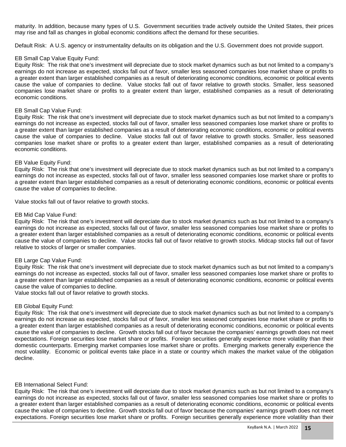maturity. In addition, because many types of U.S. Government securities trade actively outside the United States, their prices may rise and fall as changes in global economic conditions affect the demand for these securities.

Default Risk: A U.S. agency or instrumentality defaults on its obligation and the U.S. Government does not provide support.

#### EB Small Cap Value Equity Fund:

Equity Risk: The risk that one's investment will depreciate due to stock market dynamics such as but not limited to a company's earnings do not increase as expected, stocks fall out of favor, smaller less seasoned companies lose market share or profits to a greater extent than larger established companies as a result of deteriorating economic conditions, economic or political events cause the value of companies to decline. Value stocks fall out of favor relative to growth stocks. Smaller, less seasoned companies lose market share or profits to a greater extent than larger, established companies as a result of deteriorating economic conditions.

#### EB Small Cap Value Fund:

Equity Risk: The risk that one's investment will depreciate due to stock market dynamics such as but not limited to a company's earnings do not increase as expected, stocks fall out of favor, smaller less seasoned companies lose market share or profits to a greater extent than larger established companies as a result of deteriorating economic conditions, economic or political events cause the value of companies to decline. Value stocks fall out of favor relative to growth stocks. Smaller, less seasoned companies lose market share or profits to a greater extent than larger, established companies as a result of deteriorating economic conditions.

#### EB Value Equity Fund:

Equity Risk: The risk that one's investment will depreciate due to stock market dynamics such as but not limited to a company's earnings do not increase as expected, stocks fall out of favor, smaller less seasoned companies lose market share or profits to a greater extent than larger established companies as a result of deteriorating economic conditions, economic or political events cause the value of companies to decline.

Value stocks fall out of favor relative to growth stocks.

#### EB Mid Cap Value Fund:

Equity Risk: The risk that one's investment will depreciate due to stock market dynamics such as but not limited to a company's earnings do not increase as expected, stocks fall out of favor, smaller less seasoned companies lose market share or profits to a greater extent than larger established companies as a result of deteriorating economic conditions, economic or political events cause the value of companies to decline. Value stocks fall out of favor relative to growth stocks. Midcap stocks fall out of favor relative to stocks of larger or smaller companies.

#### EB Large Cap Value Fund:

Equity Risk: The risk that one's investment will depreciate due to stock market dynamics such as but not limited to a company's earnings do not increase as expected, stocks fall out of favor, smaller less seasoned companies lose market share or profits to a greater extent than larger established companies as a result of deteriorating economic conditions, economic or political events cause the value of companies to decline.

Value stocks fall out of favor relative to growth stocks.

#### EB Global Equity Fund:

Equity Risk: The risk that one's investment will depreciate due to stock market dynamics such as but not limited to a company's earnings do not increase as expected, stocks fall out of favor, smaller less seasoned companies lose market share or profits to a greater extent than larger established companies as a result of deteriorating economic conditions, economic or political events cause the value of companies to decline. Growth stocks fall out of favor because the companies' earnings growth does not meet expectations. Foreign securities lose market share or profits. Foreign securities generally experience more volatility than their domestic counterparts. Emerging market companies lose market share or profits. Emerging markets generally experience the most volatility. Economic or political events take place in a state or country which makes the market value of the obligation decline.

#### EB International Select Fund:

Equity Risk: The risk that one's investment will depreciate due to stock market dynamics such as but not limited to a company's earnings do not increase as expected, stocks fall out of favor, smaller less seasoned companies lose market share or profits to a greater extent than larger established companies as a result of deteriorating economic conditions, economic or political events cause the value of companies to decline. Growth stocks fall out of favor because the companies' earnings growth does not meet expectations. Foreign securities lose market share or profits. Foreign securities generally experience more volatility than their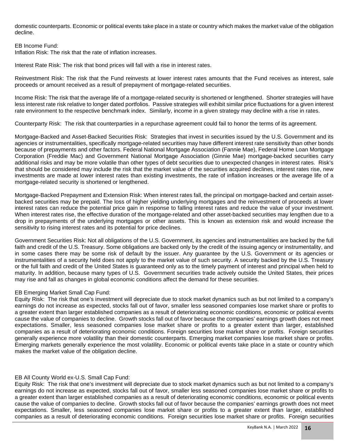domestic counterparts. Economic or political events take place in a state or country which makes the market value of the obligation decline.

#### EB Income Fund:

Inflation Risk: The risk that the rate of inflation increases.

Interest Rate Risk: The risk that bond prices will fall with a rise in interest rates.

Reinvestment Risk: The risk that the Fund reinvests at lower interest rates amounts that the Fund receives as interest, sale proceeds or amount received as a result of prepayment of mortgage-related securities.

Income Risk: The risk that the average life of a mortgage-related security is shortened or lengthened. Shorter strategies will have less interest rate risk relative to longer dated portfolios. Passive strategies will exhibit similar price fluctuations for a given interest rate environment to the respective benchmark index. Similarly, income in a given strategy may decline with a rise in rates.

Counterparty Risk: The risk that counterparties in a repurchase agreement could fail to honor the terms of its agreement.

Mortgage-Backed and Asset-Backed Securities Risk: Strategies that invest in securities issued by the U.S. Government and its agencies or instrumentalities, specifically mortgage-related securities may have different interest rate sensitivity than other bonds because of prepayments and other factors. Federal National Mortgage Association (Fannie Mae), Federal Home Loan Mortgage Corporation (Freddie Mac) and Government National Mortgage Association (Ginnie Mae) mortgage-backed securities carry additional risks and may be more volatile than other types of debt securities due to unexpected changes in interest rates. Risk's that should be considered may include the risk that the market value of the securities acquired declines, interest rates rise, new investments are made at lower interest rates than existing investments, the rate of inflation increases or the average life of a mortgage-related security is shortened or lengthened.

Mortgage-Backed Prepayment and Extension Risk: When interest rates fall, the principal on mortgage-backed and certain assetbacked securities may be prepaid. The loss of higher yielding underlying mortgages and the reinvestment of proceeds at lower interest rates can reduce the potential price gain in response to falling interest rates and reduce the value of your investment. When interest rates rise, the effective duration of the mortgage-related and other asset-backed securities may lengthen due to a drop in prepayments of the underlying mortgages or other assets. This is known as extension risk and would increase the sensitivity to rising interest rates and its potential for price declines.

Government Securities Risk: Not all obligations of the U.S. Government, its agencies and instrumentalities are backed by the full faith and credit of the U.S. Treasury. Some obligations are backed only by the credit of the issuing agency or instrumentality, and in some cases there may be some risk of default by the issuer. Any guarantee by the U.S. Government or its agencies or instrumentalities of a security held does not apply to the market value of such security. A security backed by the U.S. Treasury or the full faith and credit of the United States is guaranteed only as to the timely payment of interest and principal when held to maturity. In addition, because many types of U.S. Government securities trade actively outside the United States, their prices may rise and fall as changes in global economic conditions affect the demand for these securities.

#### EB Emerging Market Small Cap Fund:

Equity Risk: The risk that one's investment will depreciate due to stock market dynamics such as but not limited to a company's earnings do not increase as expected, stocks fall out of favor, smaller less seasoned companies lose market share or profits to a greater extent than larger established companies as a result of deteriorating economic conditions, economic or political events cause the value of companies to decline. Growth stocks fall out of favor because the companies' earnings growth does not meet expectations. Smaller, less seasoned companies lose market share or profits to a greater extent than larger, established companies as a result of deteriorating economic conditions. Foreign securities lose market share or profits. Foreign securities generally experience more volatility than their domestic counterparts. Emerging market companies lose market share or profits. Emerging markets generally experience the most volatility. Economic or political events take place in a state or country which makes the market value of the obligation decline.

#### EB All County World ex-U.S. Small Cap Fund:

Equity Risk: The risk that one's investment will depreciate due to stock market dynamics such as but not limited to a company's earnings do not increase as expected, stocks fall out of favor, smaller less seasoned companies lose market share or profits to a greater extent than larger established companies as a result of deteriorating economic conditions, economic or political events cause the value of companies to decline. Growth stocks fall out of favor because the companies' earnings growth does not meet expectations. Smaller, less seasoned companies lose market share or profits to a greater extent than larger, established companies as a result of deteriorating economic conditions. Foreign securities lose market share or profits. Foreign securities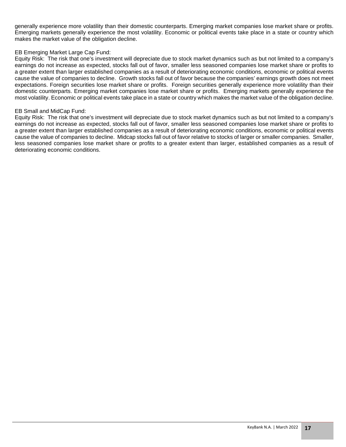generally experience more volatility than their domestic counterparts. Emerging market companies lose market share or profits. Emerging markets generally experience the most volatility. Economic or political events take place in a state or country which makes the market value of the obligation decline.

#### EB Emerging Market Large Cap Fund:

Equity Risk: The risk that one's investment will depreciate due to stock market dynamics such as but not limited to a company's earnings do not increase as expected, stocks fall out of favor, smaller less seasoned companies lose market share or profits to a greater extent than larger established companies as a result of deteriorating economic conditions, economic or political events cause the value of companies to decline. Growth stocks fall out of favor because the companies' earnings growth does not meet expectations. Foreign securities lose market share or profits. Foreign securities generally experience more volatility than their domestic counterparts. Emerging market companies lose market share or profits. Emerging markets generally experience the most volatility. Economic or political events take place in a state or country which makes the market value of the obligation decline.

#### EB Small and MidCap Fund:

Equity Risk: The risk that one's investment will depreciate due to stock market dynamics such as but not limited to a company's earnings do not increase as expected, stocks fall out of favor, smaller less seasoned companies lose market share or profits to a greater extent than larger established companies as a result of deteriorating economic conditions, economic or political events cause the value of companies to decline. Midcap stocks fall out of favor relative to stocks of larger or smaller companies. Smaller, less seasoned companies lose market share or profits to a greater extent than larger, established companies as a result of deteriorating economic conditions.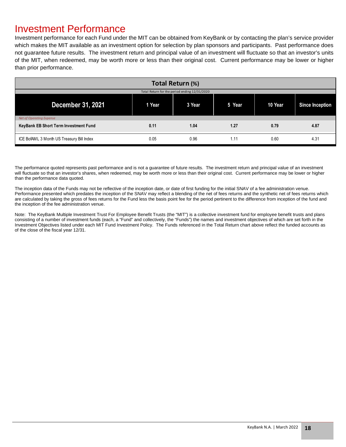### Investment Performance

Investment performance for each Fund under the MIT can be obtained from KeyBank or by contacting the plan's service provider which makes the MIT available as an investment option for selection by plan sponsors and participants. Past performance does not guarantee future results. The investment return and principal value of an investment will fluctuate so that an investor's units of the MIT, when redeemed, may be worth more or less than their original cost. Current performance may be lower or higher than prior performance.

| Total Return (%)                              |        |        |        |         |                 |  |  |  |  |
|-----------------------------------------------|--------|--------|--------|---------|-----------------|--|--|--|--|
| Total Return for the period ending 12/31/2020 |        |        |        |         |                 |  |  |  |  |
| December 31, 2021                             | 1 Year | 3 Year | 5 Year | 10 Year | Since Inception |  |  |  |  |
| <b>Net of Operating Expense</b>               |        |        |        |         |                 |  |  |  |  |
| KeyBank EB Short Term Investment Fund         | 0.11   | 1.04   | 1.27   | 0.79    | 4.87            |  |  |  |  |
| ICE BofAML 3 Month US Treasury Bill Index     | 0.05   | 0.96   | 1.11   | 0.60    | 4.31            |  |  |  |  |

The performance quoted represents past performance and is not a guarantee of future results. The investment return and principal value of an investment will fluctuate so that an investor's shares, when redeemed, may be worth more or less than their original cost. Current performance may be lower or higher than the performance data quoted.

The inception data of the Funds may not be reflective of the inception date, or date of first funding for the initial SNAV of a fee administration venue. Performance presented which predates the inception of the SNAV may reflect a blending of the net of fees returns and the synthetic net of fees returns which are calculated by taking the gross of fees returns for the Fund less the basis point fee for the period pertinent to the difference from inception of the fund and the inception of the fee administration venue.

Note: The KeyBank Multiple Investment Trust For Employee Benefit Trusts (the "MIT") is a collective investment fund for employee benefit trusts and plans consisting of a number of investment funds (each, a "Fund" and collectively, the "Funds") the names and investment objectives of which are set forth in the Investment Objectives listed under each MIT Fund Investment Policy. The Funds referenced in the Total Return chart above reflect the funded accounts as of the close of the fiscal year 12/31.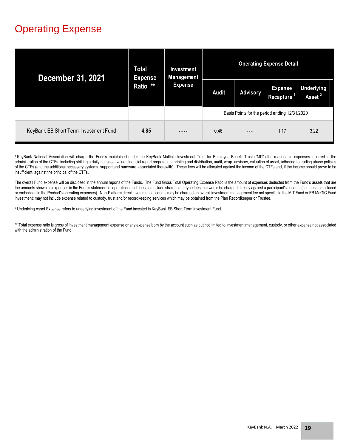## Operating Expense

| <b>December 31, 2021</b>              | Total<br><b>Expense</b><br>Ratio ** | Investment<br>Management<br><b>Expense</b> | <b>Operating Expense Detail</b>               |                 |                                    |                                         |  |  |
|---------------------------------------|-------------------------------------|--------------------------------------------|-----------------------------------------------|-----------------|------------------------------------|-----------------------------------------|--|--|
|                                       |                                     |                                            | <b>Audit</b>                                  | <b>Advisory</b> | <b>Expense</b><br><b>Recapture</b> | <b>Underlying</b><br>Asset <sup>2</sup> |  |  |
|                                       |                                     |                                            | Basis Points for the period ending 12/31/2020 |                 |                                    |                                         |  |  |
| KeyBank EB Short Term Investment Fund | 4.85                                | - - -                                      | 0.46                                          | $- - -$         | 1.17                               | 3.22                                    |  |  |

<sup>1</sup> KeyBank National Association will charge the Fund's maintained under the KeyBank Multiple Investment Trust for Employee Benefit Trust ("MIT") the reasonable expenses incurred in the administration of the CTFs, including striking a daily net asset value, financial report preparation, printing and distribution, audit, wrap, advisory, valuation of asset, adhering to trading abuse policies of the CTFs (and the additional necessary systems, support and hardware, associated therewith). These fees will be allocated against the income of the CTFs and, if the income should prove to be insufficient, against the principal of the CTFs.

The overall Fund expense will be disclosed in the annual reports of the Funds. The Fund Gross Total Operating Expense Ratio is the amount of expenses deducted from the Fund's assets that are the amounts shown as expenses in the Fund's statement of operations and does not include shareholder type fees that would be charged directly against a participant's account (i.e. fees not included or embedded in the Product's operating expenses). Non-Platform direct investment accounts may be charged an overall investment management fee not specific to the MIT Fund or EB MaGIC Fund investment; may not include expense related to custody, trust and/or recordkeeping services which may be obtained from the Plan Recordkeeper or Trustee.

2 Underlying Asset Expense refers to underlying investment of the Fund invested in KeyBank EB Short Term Investment Fund.

\*\* Total expense ratio is gross of investment management expense or any expense born by the account such as but not limited to investment management, custody, or other expense not associated with the administration of the Fund.